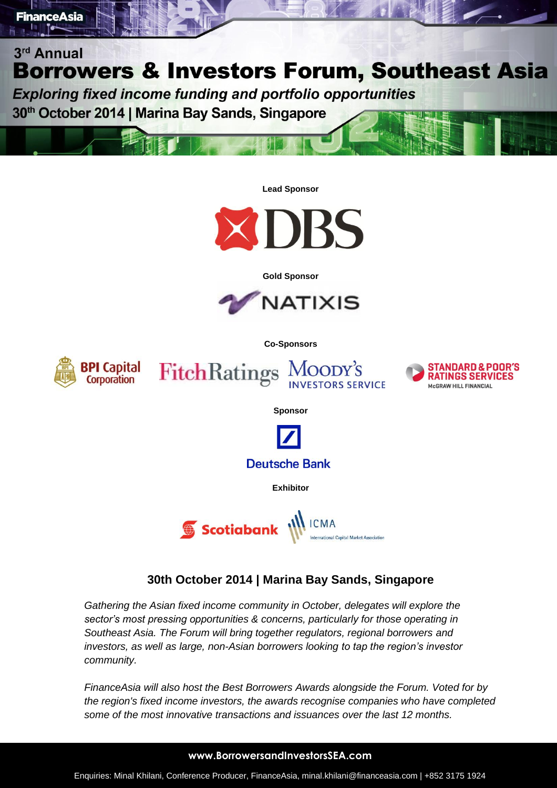

**FinanceAsia** 

### **30th October 2014 | Marina Bay Sands, Singapore**

*Gathering the Asian fixed income community in October, delegates will explore the sector's most pressing opportunities & concerns, particularly for those operating in Southeast Asia. The Forum will bring together regulators, regional borrowers and investors, as well as large, non-Asian borrowers looking to tap the region's investor community.*

*FinanceAsia will also host the Best Borrowers Awards alongside the Forum. Voted for by the region's fixed income investors, the awards recognise companies who have completed some of the most innovative transactions and issuances over the last 12 months.*

#### **www.BorrowersandInvestorsSEA.com**

Enquiries: Minal Khilani, Conference Producer, FinanceAsia, minal.khilani@financeasia.com | +852 3175 1924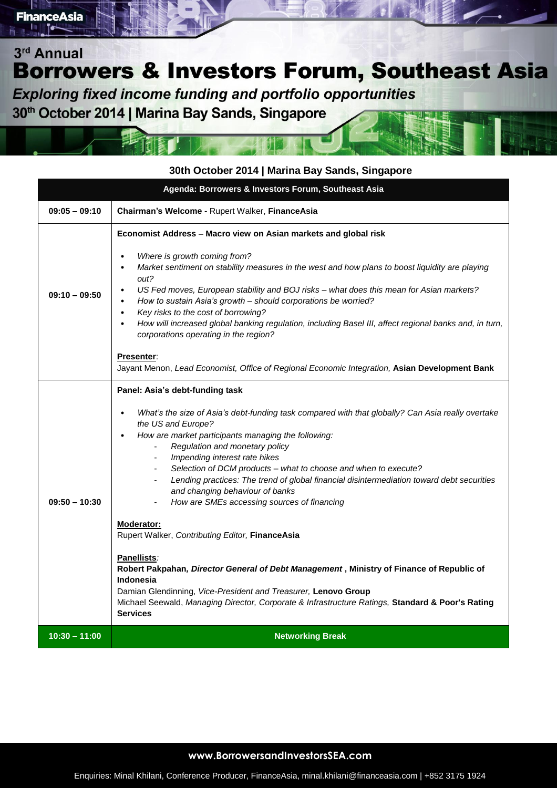**Exploring fixed income funding and portfolio opportunities** 

30<sup>th</sup> October 2014 | Marina Bay Sands, Singapore

### **30th October 2014 | Marina Bay Sands, Singapore**

| Agenda: Borrowers & Investors Forum, Southeast Asia |                                                                                                                                                                                                                                                                                                                                                                                                                                                                                                                                                                                                                                                                                                                                                                                                                                                                                                                                                           |  |
|-----------------------------------------------------|-----------------------------------------------------------------------------------------------------------------------------------------------------------------------------------------------------------------------------------------------------------------------------------------------------------------------------------------------------------------------------------------------------------------------------------------------------------------------------------------------------------------------------------------------------------------------------------------------------------------------------------------------------------------------------------------------------------------------------------------------------------------------------------------------------------------------------------------------------------------------------------------------------------------------------------------------------------|--|
| $09:05 - 09:10$                                     | Chairman's Welcome - Rupert Walker, FinanceAsia                                                                                                                                                                                                                                                                                                                                                                                                                                                                                                                                                                                                                                                                                                                                                                                                                                                                                                           |  |
| $09:10 - 09:50$                                     | Economist Address - Macro view on Asian markets and global risk<br>Where is growth coming from?<br>$\bullet$<br>Market sentiment on stability measures in the west and how plans to boost liquidity are playing<br>$\bullet$<br>out?<br>US Fed moves, European stability and BOJ risks - what does this mean for Asian markets?<br>$\bullet$<br>How to sustain Asia's growth - should corporations be worried?<br>$\bullet$<br>Key risks to the cost of borrowing?<br>$\bullet$<br>How will increased global banking regulation, including Basel III, affect regional banks and, in turn,<br>$\bullet$<br>corporations operating in the region?<br>Presenter:<br>Jayant Menon, Lead Economist, Office of Regional Economic Integration, Asian Development Bank                                                                                                                                                                                            |  |
| $09:50 - 10:30$                                     | Panel: Asia's debt-funding task<br>What's the size of Asia's debt-funding task compared with that globally? Can Asia really overtake<br>$\bullet$<br>the US and Europe?<br>How are market participants managing the following:<br>$\bullet$<br>Regulation and monetary policy<br>Impending interest rate hikes<br>Selection of DCM products - what to choose and when to execute?<br>Lending practices: The trend of global financial disintermediation toward debt securities<br>and changing behaviour of banks<br>How are SMEs accessing sources of financing<br>Moderator:<br>Rupert Walker, Contributing Editor, FinanceAsia<br>Panellists:<br>Robert Pakpahan, Director General of Debt Management, Ministry of Finance of Republic of<br><b>Indonesia</b><br>Damian Glendinning, Vice-President and Treasurer, Lenovo Group<br>Michael Seewald, Managing Director, Corporate & Infrastructure Ratings, Standard & Poor's Rating<br><b>Services</b> |  |
| $10:30 - 11:00$                                     | <b>Networking Break</b>                                                                                                                                                                                                                                                                                                                                                                                                                                                                                                                                                                                                                                                                                                                                                                                                                                                                                                                                   |  |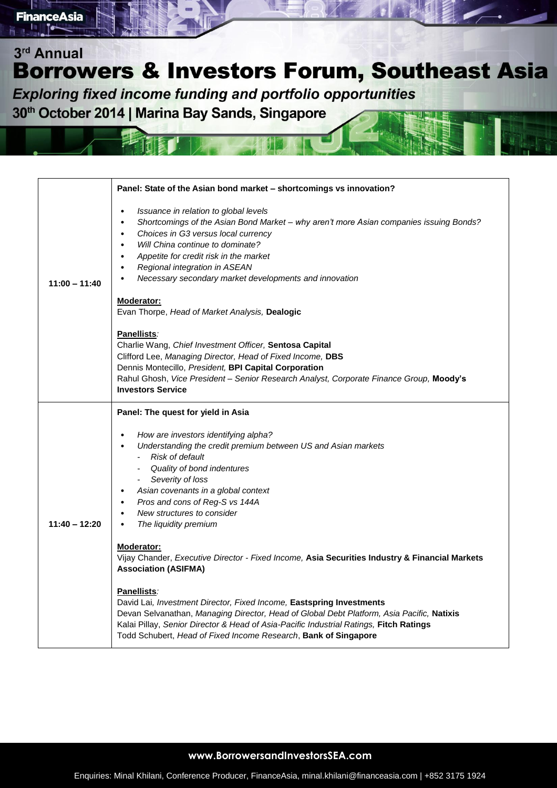**Exploring fixed income funding and portfolio opportunities** 30<sup>th</sup> October 2014 | Marina Bay Sands, Singapore

| $11:00 - 11:40$ | Panel: State of the Asian bond market - shortcomings vs innovation?<br>Issuance in relation to global levels<br>$\bullet$<br>Shortcomings of the Asian Bond Market - why aren't more Asian companies issuing Bonds?<br>$\bullet$<br>Choices in G3 versus local currency<br>$\bullet$<br>Will China continue to dominate?<br>$\bullet$<br>Appetite for credit risk in the market<br>$\bullet$<br>Regional integration in ASEAN<br>$\bullet$<br>Necessary secondary market developments and innovation<br>$\bullet$ |
|-----------------|-------------------------------------------------------------------------------------------------------------------------------------------------------------------------------------------------------------------------------------------------------------------------------------------------------------------------------------------------------------------------------------------------------------------------------------------------------------------------------------------------------------------|
|                 | Moderator:<br>Evan Thorpe, Head of Market Analysis, Dealogic                                                                                                                                                                                                                                                                                                                                                                                                                                                      |
|                 | Panellists:<br>Charlie Wang, Chief Investment Officer, Sentosa Capital<br>Clifford Lee, Managing Director, Head of Fixed Income, DBS<br>Dennis Montecillo, President, BPI Capital Corporation<br>Rahul Ghosh, Vice President - Senior Research Analyst, Corporate Finance Group, Moody's<br><b>Investors Service</b>                                                                                                                                                                                              |
|                 | Panel: The quest for yield in Asia                                                                                                                                                                                                                                                                                                                                                                                                                                                                                |
| $11:40 - 12:20$ | How are investors identifying alpha?<br>$\bullet$<br>Understanding the credit premium between US and Asian markets<br>- Risk of default<br>- Quality of bond indentures<br>Severity of loss<br>$\sim$<br>Asian covenants in a global context<br>$\bullet$<br>Pros and cons of Reg-S vs 144A<br>$\bullet$<br>New structures to consider<br>$\bullet$<br>The liquidity premium<br>$\bullet$                                                                                                                         |
|                 | Moderator:<br>Vijay Chander, Executive Director - Fixed Income, Asia Securities Industry & Financial Markets<br><b>Association (ASIFMA)</b>                                                                                                                                                                                                                                                                                                                                                                       |
|                 | Panellists:<br>David Lai, Investment Director, Fixed Income, Eastspring Investments<br>Devan Selvanathan, Managing Director, Head of Global Debt Platform, Asia Pacific, Natixis<br>Kalai Pillay, Senior Director & Head of Asia-Pacific Industrial Ratings, Fitch Ratings<br>Todd Schubert, Head of Fixed Income Research, Bank of Singapore                                                                                                                                                                     |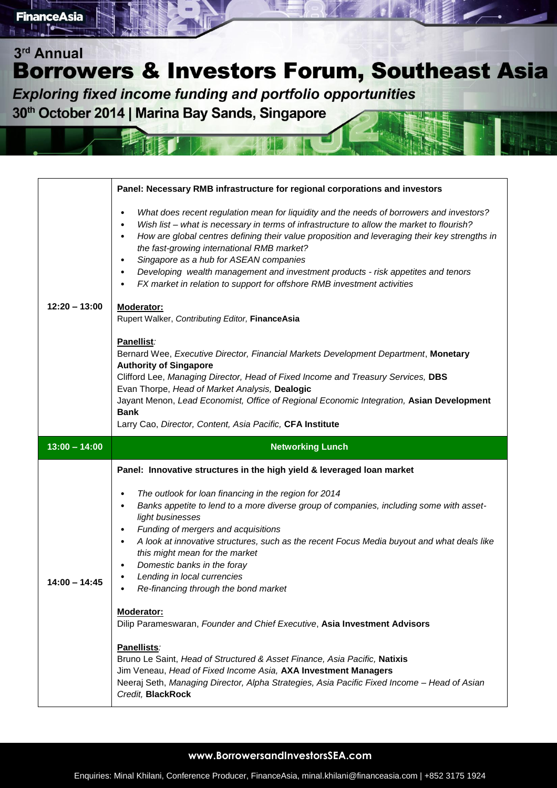**Exploring fixed income funding and portfolio opportunities** 30<sup>th</sup> October 2014 | Marina Bay Sands, Singapore

| $12:20 - 13:00$ | Panel: Necessary RMB infrastructure for regional corporations and investors                                                                                                                                                                                                                                                                                                                                                                                                                                                                                                                         |
|-----------------|-----------------------------------------------------------------------------------------------------------------------------------------------------------------------------------------------------------------------------------------------------------------------------------------------------------------------------------------------------------------------------------------------------------------------------------------------------------------------------------------------------------------------------------------------------------------------------------------------------|
|                 | What does recent regulation mean for liquidity and the needs of borrowers and investors?<br>$\bullet$<br>Wish list - what is necessary in terms of infrastructure to allow the market to flourish?<br>٠<br>How are global centres defining their value proposition and leveraging their key strengths in<br>٠<br>the fast-growing international RMB market?<br>Singapore as a hub for ASEAN companies<br>$\bullet$<br>Developing wealth management and investment products - risk appetites and tenors<br>$\bullet$<br>FX market in relation to support for offshore RMB investment activities<br>٠ |
|                 | Moderator:<br>Rupert Walker, Contributing Editor, FinanceAsia                                                                                                                                                                                                                                                                                                                                                                                                                                                                                                                                       |
|                 | Panellist:<br>Bernard Wee, Executive Director, Financial Markets Development Department, Monetary<br><b>Authority of Singapore</b><br>Clifford Lee, Managing Director, Head of Fixed Income and Treasury Services, DBS<br>Evan Thorpe, Head of Market Analysis, Dealogic<br>Jayant Menon, Lead Economist, Office of Regional Economic Integration, Asian Development<br><b>Bank</b><br>Larry Cao, Director, Content, Asia Pacific, CFA Institute                                                                                                                                                    |
|                 |                                                                                                                                                                                                                                                                                                                                                                                                                                                                                                                                                                                                     |
| $13:00 - 14:00$ | <b>Networking Lunch</b>                                                                                                                                                                                                                                                                                                                                                                                                                                                                                                                                                                             |
|                 | Panel: Innovative structures in the high yield & leveraged loan market                                                                                                                                                                                                                                                                                                                                                                                                                                                                                                                              |
| $14:00 - 14:45$ | The outlook for loan financing in the region for 2014<br>$\bullet$<br>Banks appetite to lend to a more diverse group of companies, including some with asset-<br>٠<br>light businesses<br>Funding of mergers and acquisitions<br>$\bullet$<br>A look at innovative structures, such as the recent Focus Media buyout and what deals like<br>$\bullet$<br>this might mean for the market<br>Domestic banks in the foray<br>٠<br>Lending in local currencies<br>Re-financing through the bond market                                                                                                  |
|                 | Moderator:<br>Dilip Parameswaran, Founder and Chief Executive, Asia Investment Advisors                                                                                                                                                                                                                                                                                                                                                                                                                                                                                                             |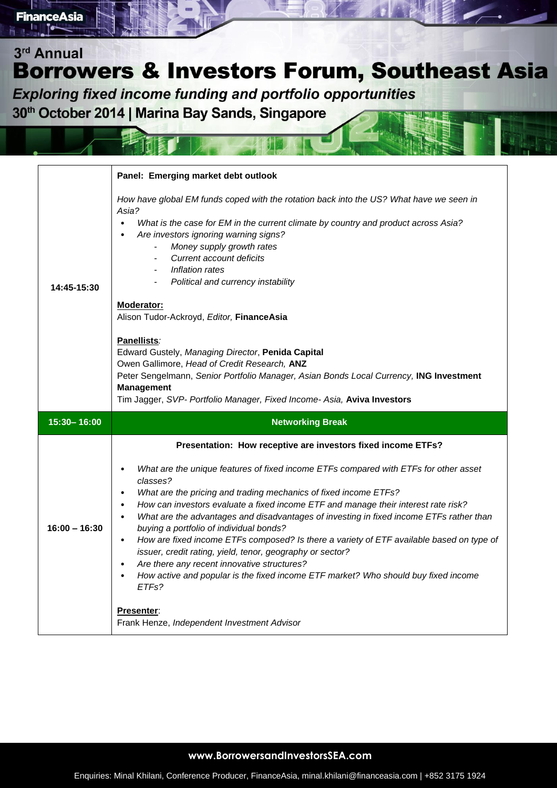**Exploring fixed income funding and portfolio opportunities** 30<sup>th</sup> October 2014 | Marina Bay Sands, Singapore

|                 | Panel: Emerging market debt outlook                                                                                                                                                                                                                                                                                                                                                                                                                                                                                                                                                                                                                                                                                                                         |
|-----------------|-------------------------------------------------------------------------------------------------------------------------------------------------------------------------------------------------------------------------------------------------------------------------------------------------------------------------------------------------------------------------------------------------------------------------------------------------------------------------------------------------------------------------------------------------------------------------------------------------------------------------------------------------------------------------------------------------------------------------------------------------------------|
| 14:45-15:30     | How have global EM funds coped with the rotation back into the US? What have we seen in<br>Asia?<br>What is the case for EM in the current climate by country and product across Asia?<br>$\bullet$<br>Are investors ignoring warning signs?<br>Money supply growth rates<br>Current account deficits<br>Inflation rates<br>Political and currency instability<br>Moderator:<br>Alison Tudor-Ackroyd, Editor, FinanceAsia<br>Panellists:<br>Edward Gustely, Managing Director, Penida Capital<br>Owen Gallimore, Head of Credit Research, ANZ<br>Peter Sengelmann, Senior Portfolio Manager, Asian Bonds Local Currency, ING Investment<br><b>Management</b><br>Tim Jagger, SVP- Portfolio Manager, Fixed Income- Asia, Aviva Investors                     |
| 15:30-16:00     | <b>Networking Break</b>                                                                                                                                                                                                                                                                                                                                                                                                                                                                                                                                                                                                                                                                                                                                     |
|                 |                                                                                                                                                                                                                                                                                                                                                                                                                                                                                                                                                                                                                                                                                                                                                             |
|                 | Presentation: How receptive are investors fixed income ETFs?                                                                                                                                                                                                                                                                                                                                                                                                                                                                                                                                                                                                                                                                                                |
| $16:00 - 16:30$ | What are the unique features of fixed income ETFs compared with ETFs for other asset<br>classes?<br>What are the pricing and trading mechanics of fixed income ETFs?<br>How can investors evaluate a fixed income ETF and manage their interest rate risk?<br>What are the advantages and disadvantages of investing in fixed income ETFs rather than<br>$\bullet$<br>buying a portfolio of individual bonds?<br>How are fixed income ETFs composed? Is there a variety of ETF available based on type of<br>$\bullet$<br>issuer, credit rating, yield, tenor, geography or sector?<br>Are there any recent innovative structures?<br>How active and popular is the fixed income ETF market? Who should buy fixed income<br>$\bullet$<br>ETF <sub>s</sub> ? |